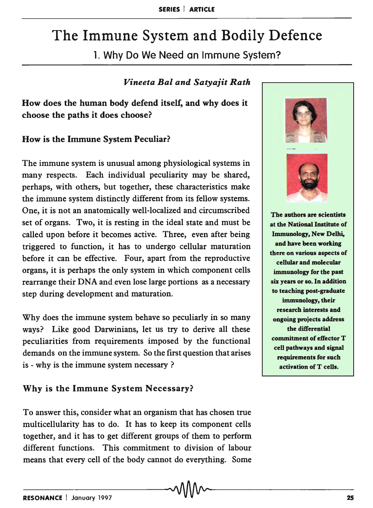# The Immune System and Bodily Defence

1. Why Do We Need an Immune System?

#### *Vineeta Bal and Satyajit Rath*

How does the human body defend itself, and why does it choose the paths it does choose?

### How is the Immune System Peculiar?

The immune system is unusual among physiological systems in many respects. Each individual peculiarity may be shared, perhaps, with others, but together, these characteristics make the immune system distinctly different from its fellow systems. One, it is not an anatomically well-localized and circumscribed set of organs. Two, it is resting in the ideal state and must be called upon before it becomes active. Three, even after being triggered to function, it has to undergo cellular maturation before it can be effective. Four, apart from the reproductive organs, it is perhaps the only system in which component cells rearrange their DNA and even lose large portions as a necessary step during development and maturation.

Why does the immune system behave so peculiarly in so many ways? Like good Darwinians, let us try to derive all these peculiarities from requirements imposed by the functional demands on the immune system. So the first question that arises is - why is the immune system necessary ?

## Why is the Immune System Necessary?

To answer this, consider what an organism that has chosen true multicellularity has to do. It has to keep its component cells together, and it has to get different groups of them to perform different functions. This commitment to division of labour means that every cell of the body cannot do everything. Some





The authors are scientists at the National Institute of Immunology, New Delhi, and have been working there on various aspects of cellular and molecular immunology for the past six years or so. In addition to teaching post-graduate immunology, their research interests and ongoing projects address the differential commitment of effector T cell pathways and signal requirements for such activation of T cells.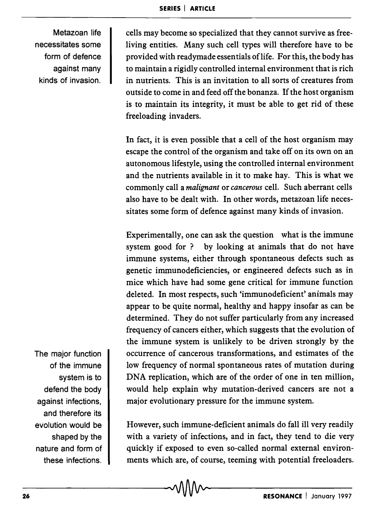Metazoan life necessitates some form of defence against many kinds of invasion.

cells may become so specialized that they cannot survive as freeliving entities. Many such cell types will therefore have to be provided with readymade essentials of life. For this, the body has to maintain a rigidly controlled internal environment that is rich in nutrients. This is an invitation to all sorts of creatures from outside to come in and feed off the bonanza. If the host organism is to maintain its integrity, it must be able to get rid of these freeloading invaders.

In fact, it is even possible that a cell of the host organism may escape the control of the organism and take off on its own on an autonomous lifestyle, using the controlled internal environment and the nutrients available in it to make hay. This is what we commonly call a *malignant* or *cancerous* cell. Such aberrant cells also have to be dealt with. In other words, metazoan life necessitates some form of defence against many kinds of invasion.

Experimentally, one can ask the question what is the immune system good for? by looking at animals that do not have immune systems, either through spontaneous defects such as genetic immunodeficiencies, or engineered defects such as in mice which have had some gene critical for immune function deleted. In most respects, such 'immunodeficient' animals may appear to be quite normal, healthy and happy insofar as can be determined. They do not suffer particularly from any increased frequency of cancers either, which suggests that the evolution of the immune system is unlikely to be driven strongly by the occurrence of cancerous transformations, and estimates of the low frequency of normal spontaneous rates of mutation during DNA replication, which are of the order of one in ten million, would help explain why mutation-derived cancers are not a major evolutionary pressure for the immune system.

However, such immune-deficient animals do fall ill very readily with a variety of infections, and in fact, they tend to die very quickly if exposed to even so-called normal external environments which are, of course, teeming with potential freeloaders.

The major function of the immune system is to defend the body against infections, and therefore its evolution would be shaped by the nature and form of these infections.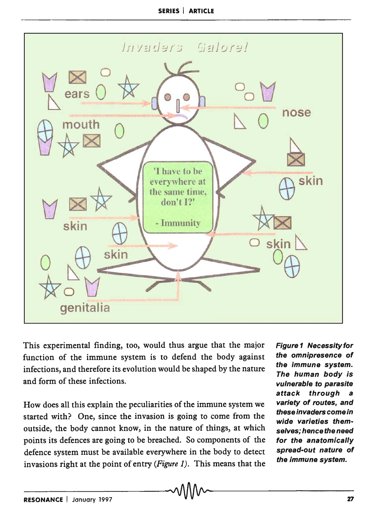

This experimental finding, too, would thus argue that the major function of the immune system is to defend the body against infections, and therefore its evolution would be shaped by the nature and form of these infections.

How does all this explain the peculiarities of the immune system we started with? One, since the invasion is going to come from the outside, the body cannot know, in the nature of things, at which points its defences are going to be breached. So components of the defence system must be available everywhere in the body to detect invasions right at the point of entry *(Figure* 1). This means that the Figure 1 Necessity for the omnipresence of the immune system. The human body is vulnerable to parasite attack through a variety of routes, and these invaders come in wide varieties themselves; hence the need for the anatomically spread-out nature of the immune system.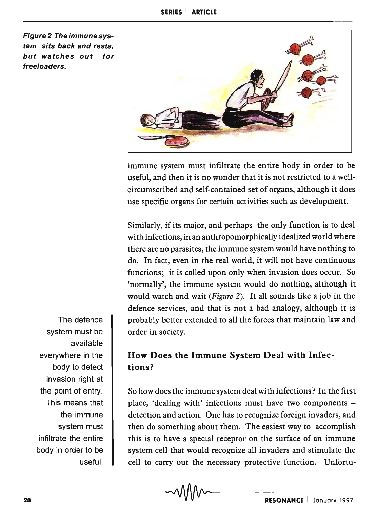Figure 2 Theimmunesystem sits back and rests, but watches out for freeloaders.



immune system must infiltrate the entire body in order to be useful, and then it is no wonder that it is not restricted to a wellcircumscribed and self-contained set of organs, although it does use specific organs for certain activities such as development.

Similarly, if its major, and perhaps the only function is to deal with infections, in an anthropomorphically idealized world where there are no parasites, the immune system would have nothing to do. In fact, even in the real world, it will not have continuous functions; it is called upon only when invasion does occur. So 'normally', the immune system would do nothing, although it would watch and wait *(Figure* 2). It all sounds like a job in the defence services, and that is not a bad analogy, although it is probably better extended to all the forces that maintain law and order in society.

## How Does the Immune System Deal with Infections?

So how does the immune system deal with infections? In the first place, 'dealing with' infections must have two components  $$ detection and action. One has to recognize foreign invaders, and then do something about them. The easiest way to accomplish this is to have a special receptor on the surface of an immune system cell that would recognize all invaders and stimulate the cell to carry out the necessary protective function. Unfortu-

The defence system must be available everywhere in the body to detect invasion right at the point of entry. This means that the immune system must infiltrate the entire body in order to be useful.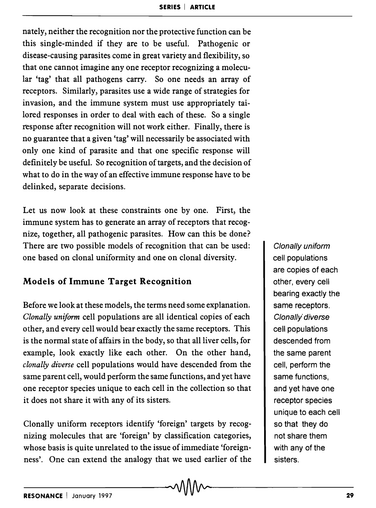nately, neither the recognition nor the protective function can be this single-minded if they are to be useful. Pathogenic or disease-causing parasites come in great variety and flexibility, so that one cannot imagine anyone receptor recognizing a molecular 'tag' that all pathogens carry. So one needs an array of receptors. Similarly, parasites use a wide range of strategies for invasion, and the immune system must use appropriately tailored responses in order to deal with each of these. So a single response after recognition will not work either. Finally, there is no guarantee that a given 'tag' will necessarily be associated with only one kind of parasite and that one specific response will definitely be useful. So recognition of targets, and the decision of what to do in the way of an effective immune response have to be delinked, separate decisions.

Let us now look at these constraints one by one. First, the immune system has to generate an array of receptors that recognize, together, all pathogenic parasites. How can this be done? There are two possible models of recognition that can be used: one based on clonal uniformity and one on clonal diversity.

## **Models of Immune Target Recognition**

Before we look at these models, the terms need some explanation. *Clonally uniform* cell populations are all identical copies of each other, and every cell would bear exactly the same receptors. This is the normal state of affairs in the body, so that all liver cells, for example, look exactly like each other. On the other hand, *clonally diverse* cell popUlations would have descended from the same parent cell, would perform the same functions, and yet have one receptor species unique to each cell in the collection so that it does not share it with any of its sisters.

Clonally uniform receptors identify 'foreign' targets by recognizing molecules that are 'foreign' by classification categories, whose basis is quite unrelated to the issue of immediate 'foreignness'. One can extend the analogy that we used earlier of the

Clonally uniform cell populations are copies of each other, every cell bearing exactly the same receptors. Clonally diverse cell populations descended from the same parent cell, perform the same functions, and yet have one receptor species unique to each cell so that they do not share them with any of the sisters.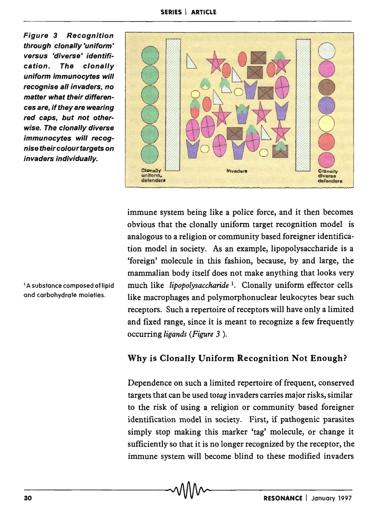Figure 3 Recognition through cion ally 'uniform' versus 'diverse' identification. The clonally uniform immunocytes will recognise all invaders, no matter what their differences are, if they are wearing red caps, but not otherwise. The clonally diverse immunocytes will recognisetheircolourtargets on invaders individually.

8 o  $\infty$ o o **Clonally** uniform, defenders Invader. o Clonally dlverae defenders

immune system being like a police force, and it then becomes obvious that the clonally uniform target recognition model is analogous to a religion or community based foreigner identification model in society. As an example, lipopolysaccharide is a 'foreign' molecule in this fashion, because, by and large, the mammalian body itself does not make anything that looks very much like *lipopolysaccharide* 1, Clonally uniform effector cells like macrophages and polymorphonuclear leukocytes bear such receptors. Such a repertoire of receptors will have only a limited and fixed range, since it is meant to recognize a few frequently occurring *ligands (Figure* 3 ).

## Why is Clonally Uniform Recognition Not Enough?

Dependence on such a limited repertoire of frequent, conserved targets that can be used *totag* invaders carries major risks, similar to the risk of using a religion or community based foreigner identification model in society. First, if pathogenic parasites simply stop making this marker 'tag' molecule, or change it sufficiently so that it is no longer recognized by the receptor, the immune system will become blind to these modified invaders

<sup>1</sup> A substance composed of lipid and carbohydrate moieties.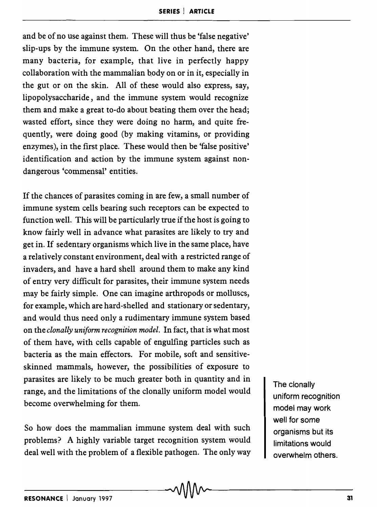and be of no use against them. These will thus be 'false negative' slip-ups by the immune system. On the other hand, there are many bacteria, for example, that live in perfectly happy collaboration with the mammalian body on or in it, especially in the gut or on the skin. All of these would also express, say, lipopolysaccharide, and the immune system would recognize them and make a great to-do about beating them over the head; wasted effort, since they were doing no harm, and quite frequently, were doing good (by making vitamins, or providing enzymes), in the first place. These would then be 'false positive' identification and action by the immune system against nondangerous 'commensal' entities.

If the chances of parasites coming in are few, a small number of immune system cells bearing such receptors can be expected to function well. This will be particularly true if the host is going to know fairly well in advance what parasites are likely to try and get in. If sedentary organisms which live in the same place, have a relatively constant environment, deal with a restricted range of invaders, and have a hard shell around them to make any kind of entry very difficult for parasites, their immune system needs may be fairly simple. One can imagine arthropods or molluscs, for example, which are hard-shelled and stationary or sedentary, and would thus need only a rudimentary immune system based on the *clonally uniform recognition model.* In fact, that is what most of them have, with cells capable of engulfing particles such as bacteria as the main effectors. For mobile, soft and sensitiveskinned mammals, however, the possibilities of exposure to parasites are likely to be much greater both in quantity and in range, and the limitations of the clonally uniform model would become overwhelming for them.

So how does the mammalian immune system deal with such problems? A highly variable target recognition system would deal well with the problem of a flexible pathogen. The only way The clonally uniform recognition model may work well for some organisms but its limitations would overwhelm others.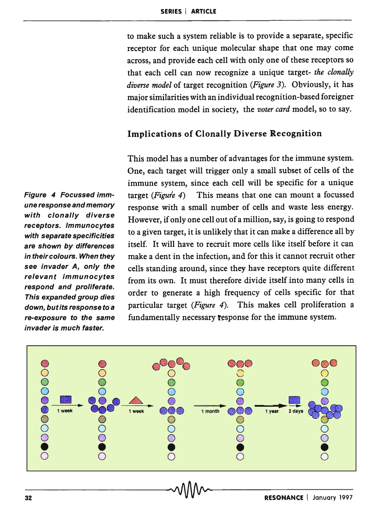to make such a system reliable is to provide a separate, specific receptor for each unique molecular shape that one may come across, and provide each cell with only one of these receptors so that each cell can now recognize a unique target- *the clonally diverse model* of target recognition *(Figure* 3). Obviously, it has major similarities with an individual recognition-based foreigner identification model in society, the *voter card* model, so to say.

#### Implications of Clonally Diverse Recognition

This model has a number of advantages for the immune system. One, each target will trigger only a small subset of cells of the immune system, since each cell will be specific for a unique target *(Figure* 4) This means that one can mount a focussed response with a small number of cells and waste less energy. However, if only one cell out of a million, say, is going to respond to a given target, it is unlikely that it can make a difference all by itself. It will have to recruit more cells like itself before it can make a dent in the infection, and for this it cannot recruit other cells standing around, since they have receptors quite different from its own. It must therefore divide itself into many cells in order to generate a high frequency of cells specific for that particular target *(Figure* 4). This makes cell proliferation a fundamentally necessary response for the immune system.



Figure 4 Focussed immune response and memory with clonally diverse receptors. Immunocytes with separate specificities are shown by differences in their colours. When they see invader A, only the relevant immunocytes respond and proliferate. This expanded group dies down, but its response to a re-exposure to the same invader is much faster.